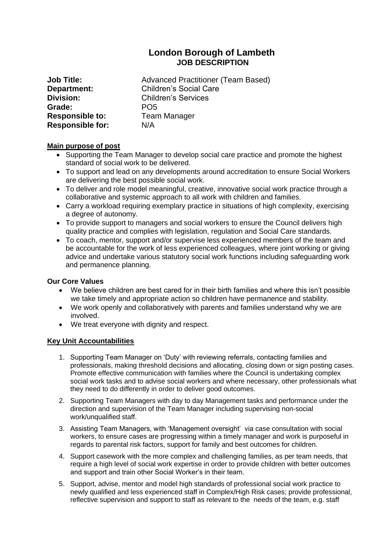# **London Borough of Lambeth JOB DESCRIPTION**

**Grade:** PO5 **Responsible to:** Team Manager **Responsible for:** N/A

**Job Title:** Advanced Practitioner (Team Based) **Department:** Children's Social Care **Division:** Children's Services

### **Main purpose of post**

- Supporting the Team Manager to develop social care practice and promote the highest standard of social work to be delivered.
- To support and lead on any developments around accreditation to ensure Social Workers are delivering the best possible social work.
- To deliver and role model meaningful, creative, innovative social work practice through a collaborative and systemic approach to all work with children and families.
- Carry a workload requiring exemplary practice in situations of high complexity, exercising a degree of autonomy.
- To provide support to managers and social workers to ensure the Council delivers high quality practice and complies with legislation, regulation and Social Care standards.
- To coach, mentor, support and/or supervise less experienced members of the team and be accountable for the work of less experienced colleagues, where joint working or giving advice and undertake various statutory social work functions including safeguarding work and permanence planning.

### **Our Core Values**

- We believe children are best cared for in their birth families and where this isn't possible we take timely and appropriate action so children have permanence and stability.
- We work openly and collaboratively with parents and families understand why we are involved.
- We treat everyone with dignity and respect.

### **Key Unit Accountabilities**

- 1. Supporting Team Manager on 'Duty' with reviewing referrals, contacting families and professionals, making threshold decisions and allocating, closing down or sign posting cases. Promote effective communication with families where the Council is undertaking complex social work tasks and to advise social workers and where necessary, other professionals what they need to do differently in order to deliver good outcomes.
- 2. Supporting Team Managers with day to day Management tasks and performance under the direction and supervision of the Team Manager including supervising non-social work/unqualified staff.
- 3. Assisting Team Managers, with 'Management oversight' via case consultation with social workers, to ensure cases are progressing within a timely manager and work is purposeful in regards to parental risk factors, support for family and best outcomes for children.
- 4. Support casework with the more complex and challenging families, as per team needs, that require a high level of social work expertise in order to provide children with better outcomes and support and train other Social Worker's in their team.
- 5. Support, advise, mentor and model high standards of professional social work practice to newly qualified and less experienced staff in Complex/High Risk cases; provide professional, reflective supervision and support to staff as relevant to the needs of the team, e.g. staff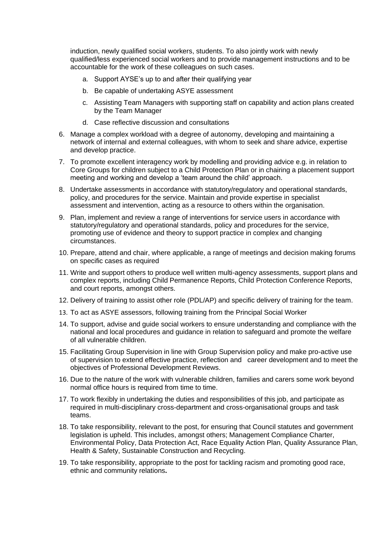induction, newly qualified social workers, students. To also jointly work with newly qualified/less experienced social workers and to provide management instructions and to be accountable for the work of these colleagues on such cases.

- a. Support AYSE's up to and after their qualifying year
- b. Be capable of undertaking ASYE assessment
- c. Assisting Team Managers with supporting staff on capability and action plans created by the Team Manager
- d. Case reflective discussion and consultations
- 6. Manage a complex workload with a degree of autonomy, developing and maintaining a network of internal and external colleagues, with whom to seek and share advice, expertise and develop practice.
- 7. To promote excellent interagency work by modelling and providing advice e.g. in relation to Core Groups for children subject to a Child Protection Plan or in chairing a placement support meeting and working and develop a 'team around the child' approach.
- 8. Undertake assessments in accordance with statutory/regulatory and operational standards, policy, and procedures for the service. Maintain and provide expertise in specialist assessment and intervention, acting as a resource to others within the organisation.
- 9. Plan, implement and review a range of interventions for service users in accordance with statutory/regulatory and operational standards, policy and procedures for the service, promoting use of evidence and theory to support practice in complex and changing circumstances.
- 10. Prepare, attend and chair, where applicable, a range of meetings and decision making forums on specific cases as required
- 11. Write and support others to produce well written multi-agency assessments, support plans and complex reports, including Child Permanence Reports, Child Protection Conference Reports, and court reports, amongst others.
- 12. Delivery of training to assist other role (PDL/AP) and specific delivery of training for the team.
- 13. To act as ASYE assessors, following training from the Principal Social Worker
- 14. To support, advise and guide social workers to ensure understanding and compliance with the national and local procedures and guidance in relation to safeguard and promote the welfare of all vulnerable children.
- 15. Facilitating Group Supervision in line with Group Supervision policy and make pro-active use of supervision to extend effective practice, reflection and career development and to meet the objectives of Professional Development Reviews.
- 16. Due to the nature of the work with vulnerable children, families and carers some work beyond normal office hours is required from time to time.
- 17. To work flexibly in undertaking the duties and responsibilities of this job, and participate as required in multi-disciplinary cross-department and cross-organisational groups and task teams.
- 18. To take responsibility, relevant to the post, for ensuring that Council statutes and government legislation is upheld. This includes, amongst others; Management Compliance Charter, Environmental Policy, Data Protection Act, Race Equality Action Plan, Quality Assurance Plan, Health & Safety, Sustainable Construction and Recycling.
- 19. To take responsibility, appropriate to the post for tackling racism and promoting good race, ethnic and community relations**.**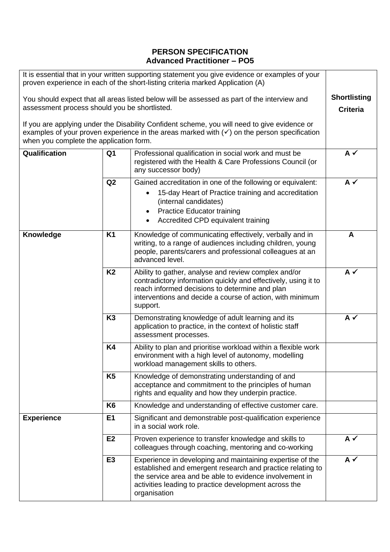## **PERSON SPECIFICATION Advanced Practitioner – PO5**

| It is essential that in your written supporting statement you give evidence or examples of your<br>proven experience in each of the short-listing criteria marked Application (A)                                                                 |                |                                                                                                                                                                                                                                                             |          |  |
|---------------------------------------------------------------------------------------------------------------------------------------------------------------------------------------------------------------------------------------------------|----------------|-------------------------------------------------------------------------------------------------------------------------------------------------------------------------------------------------------------------------------------------------------------|----------|--|
| You should expect that all areas listed below will be assessed as part of the interview and<br>assessment process should you be shortlisted.                                                                                                      |                |                                                                                                                                                                                                                                                             |          |  |
| If you are applying under the Disability Confident scheme, you will need to give evidence or<br>examples of your proven experience in the areas marked with $(\checkmark)$ on the person specification<br>when you complete the application form. |                |                                                                                                                                                                                                                                                             |          |  |
| Qualification                                                                                                                                                                                                                                     | Q <sub>1</sub> | Professional qualification in social work and must be<br>registered with the Health & Care Professions Council (or<br>any successor body)                                                                                                                   | $A \vee$ |  |
|                                                                                                                                                                                                                                                   | Q2             | Gained accreditation in one of the following or equivalent:<br>15-day Heart of Practice training and accreditation<br>(internal candidates)<br><b>Practice Educator training</b><br>Accredited CPD equivalent training<br>$\bullet$                         | $A \vee$ |  |
| Knowledge                                                                                                                                                                                                                                         | <b>K1</b>      | Knowledge of communicating effectively, verbally and in<br>writing, to a range of audiences including children, young<br>people, parents/carers and professional colleagues at an<br>advanced level.                                                        | A        |  |
|                                                                                                                                                                                                                                                   | <b>K2</b>      | Ability to gather, analyse and review complex and/or<br>contradictory information quickly and effectively, using it to<br>reach informed decisions to determine and plan<br>interventions and decide a course of action, with minimum<br>support.           | $A \vee$ |  |
|                                                                                                                                                                                                                                                   | K <sub>3</sub> | Demonstrating knowledge of adult learning and its<br>application to practice, in the context of holistic staff<br>assessment processes.                                                                                                                     | $A \vee$ |  |
|                                                                                                                                                                                                                                                   | <b>K4</b>      | Ability to plan and prioritise workload within a flexible work<br>environment with a high level of autonomy, modelling<br>workload management skills to others.                                                                                             |          |  |
|                                                                                                                                                                                                                                                   | K <sub>5</sub> | Knowledge of demonstrating understanding of and<br>acceptance and commitment to the principles of human<br>rights and equality and how they underpin practice.                                                                                              |          |  |
|                                                                                                                                                                                                                                                   | K <sub>6</sub> | Knowledge and understanding of effective customer care.                                                                                                                                                                                                     |          |  |
| <b>Experience</b>                                                                                                                                                                                                                                 | E <sub>1</sub> | Significant and demonstrable post-qualification experience<br>in a social work role.                                                                                                                                                                        |          |  |
|                                                                                                                                                                                                                                                   | E2             | Proven experience to transfer knowledge and skills to<br>colleagues through coaching, mentoring and co-working                                                                                                                                              | $A \vee$ |  |
|                                                                                                                                                                                                                                                   | E <sub>3</sub> | Experience in developing and maintaining expertise of the<br>established and emergent research and practice relating to<br>the service area and be able to evidence involvement in<br>activities leading to practice development across the<br>organisation | $A \vee$ |  |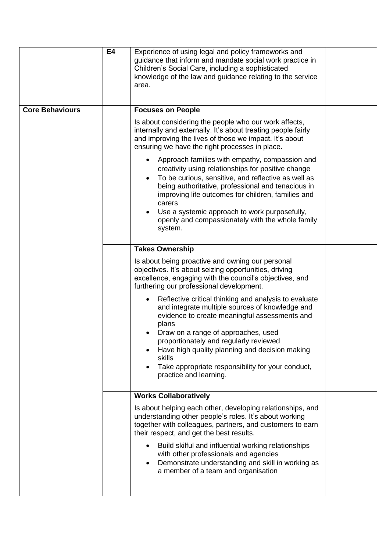|                        | E4 | Experience of using legal and policy frameworks and<br>guidance that inform and mandate social work practice in<br>Children's Social Care, including a sophisticated<br>knowledge of the law and guidance relating to the service<br>area.                                                                                                                                                          |  |
|------------------------|----|-----------------------------------------------------------------------------------------------------------------------------------------------------------------------------------------------------------------------------------------------------------------------------------------------------------------------------------------------------------------------------------------------------|--|
| <b>Core Behaviours</b> |    | <b>Focuses on People</b>                                                                                                                                                                                                                                                                                                                                                                            |  |
|                        |    | Is about considering the people who our work affects,<br>internally and externally. It's about treating people fairly<br>and improving the lives of those we impact. It's about<br>ensuring we have the right processes in place.                                                                                                                                                                   |  |
|                        |    | Approach families with empathy, compassion and<br>creativity using relationships for positive change<br>To be curious, sensitive, and reflective as well as<br>$\bullet$<br>being authoritative, professional and tenacious in<br>improving life outcomes for children, families and<br>carers<br>Use a systemic approach to work purposefully,<br>openly and compassionately with the whole family |  |
|                        |    | system.                                                                                                                                                                                                                                                                                                                                                                                             |  |
|                        |    | <b>Takes Ownership</b>                                                                                                                                                                                                                                                                                                                                                                              |  |
|                        |    | Is about being proactive and owning our personal<br>objectives. It's about seizing opportunities, driving<br>excellence, engaging with the council's objectives, and<br>furthering our professional development.                                                                                                                                                                                    |  |
|                        |    | Reflective critical thinking and analysis to evaluate<br>and integrate multiple sources of knowledge and<br>evidence to create meaningful assessments and<br>plans                                                                                                                                                                                                                                  |  |
|                        |    | Draw on a range of approaches, used<br>proportionately and regularly reviewed<br>Have high quality planning and decision making<br>skills                                                                                                                                                                                                                                                           |  |
|                        |    | Take appropriate responsibility for your conduct,<br>practice and learning.                                                                                                                                                                                                                                                                                                                         |  |
|                        |    | <b>Works Collaboratively</b>                                                                                                                                                                                                                                                                                                                                                                        |  |
|                        |    | Is about helping each other, developing relationships, and<br>understanding other people's roles. It's about working<br>together with colleagues, partners, and customers to earn<br>their respect, and get the best results.                                                                                                                                                                       |  |
|                        |    | Build skilful and influential working relationships<br>$\bullet$<br>with other professionals and agencies<br>Demonstrate understanding and skill in working as<br>a member of a team and organisation                                                                                                                                                                                               |  |
|                        |    |                                                                                                                                                                                                                                                                                                                                                                                                     |  |